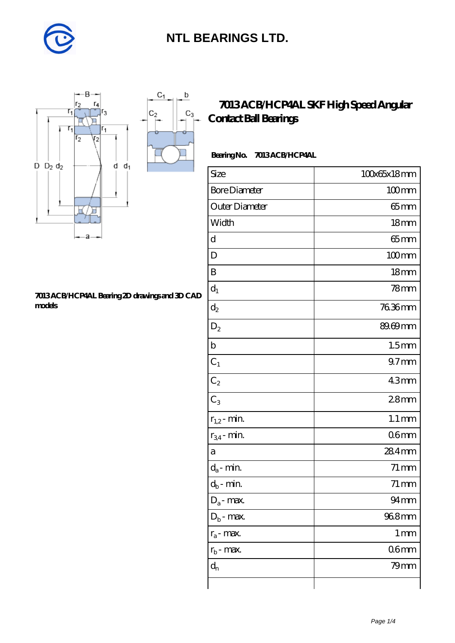

 $\mathsf b$ 

ó

 $C_3$ 



#### **[7013 ACB/HCP4AL Bearing 2D drawings and 3D CAD](https://m.diabetesfriends.net/pic-590722.html) [models](https://m.diabetesfriends.net/pic-590722.html)**

### **[7013 ACB/HCP4AL SKF High Speed Angular](https://m.diabetesfriends.net/skf-bearing/7013-acb-hcp4al.html) [Contact Ball Bearings](https://m.diabetesfriends.net/skf-bearing/7013-acb-hcp4al.html)**

#### **Bearing No. 7013 ACB/HCP4AL**

| Size                       | 100x65x18mm         |
|----------------------------|---------------------|
| <b>Bore Diameter</b>       | $100$ mm            |
| Outer Diameter             | $65$ mm             |
| Width                      | 18 <sub>mm</sub>    |
| d                          | $65$ mm             |
| D                          | $100$ mm            |
| B                          | 18 <sub>mm</sub>    |
| $d_1$                      | 78 <sub>mm</sub>    |
| $d_2$                      | 7636mm              |
| $\mathrm{D}_2$             | 89.69mm             |
| $\mathbf b$                | 1.5 <sub>mm</sub>   |
| $C_1$                      | $97$ <sub>mm</sub>  |
| $C_2$                      | 43mm                |
| $C_3$                      | 28 <sub>mm</sub>    |
| $r_{1,2}$ - min.           | $1.1 \,\mathrm{mm}$ |
| $r_{34}$ - min.            | 06 <sub>mm</sub>    |
| a                          | 284mm               |
| $d_a$ - min.               | $71 \,\mathrm{mm}$  |
| $d_b\operatorname{-} \min$ | $71 \,\mathrm{mm}$  |
| $D_a$ - max.               | $94 \text{mm}$      |
| $D_b$ - max.               | 968mm               |
| $r_a$ - max.               | $1 \,\mathrm{mm}$   |
| $r_{b}$ - max.             | 06 <sub>mm</sub>    |
| $d_{n}$                    | $79$ mm             |
|                            |                     |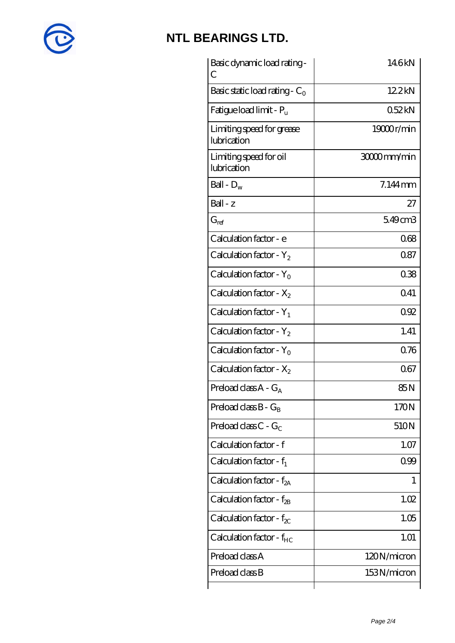

| Basic dynamic load rating -<br>С         | 146kN       |
|------------------------------------------|-------------|
| Basic static load rating - $C_0$         | 122kN       |
| Fatigue load limit - $P_{\rm u}$         | 0.52kN      |
| Limiting speed for grease<br>lubrication | 19000r/min  |
| Limiting speed for oil<br>lubrication    | 30000mm/min |
| Ball - $D_w$                             | $7.144$ mm  |
| $Ball - z$                               | 27          |
| $G_{\text{ref}}$                         | 549cm3      |
| Calculation factor - e                   | 068         |
| Calculation factor - $Y_2$               | 087         |
| Calculation factor - $Y_0$               | 038         |
| Calculation factor - $X_2$               | 041         |
| Calculation factor - $Y_1$               | 092         |
| Calculation factor - $Y_2$               | 1.41        |
| Calculation factor - $Y_0$               | 0.76        |
| Calculation factor - $X_2$               | 067         |
| Preload class $A - G_A$                  | 85N         |
| Preload class $B - G_B$                  | 170N        |
| Preload class $C - G_C$                  | 510N        |
| Calculation factor - f                   | 1.07        |
| Calculation factor - $f_1$               | 099         |
| Calculation factor - $f_{2A}$            | 1           |
| Calculation factor - $f_{\rm 2B}$        | 1.02        |
| Calculation factor - $f_{\chi}$          | 1.05        |
| Calculation factor - $f_{HC}$            | 1.01        |
| Preload class A                          | 120N/micron |
| Preload class B                          | 153N/micron |
|                                          |             |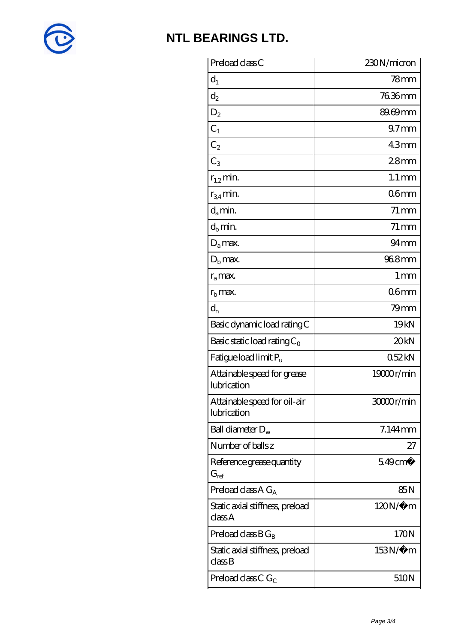

| 230N/micron            |
|------------------------|
| 78mm                   |
| 76.36mm                |
| 89.69mm                |
| 97 <sub>mm</sub>       |
| 43 <sub>mm</sub>       |
| 28 <sub>mm</sub>       |
| $1.1 \,\mathrm{mm}$    |
| 06 <sub>mm</sub>       |
| $71 \,\mathrm{mm}$     |
| $71 \,\mathrm{mm}$     |
| $94 \text{mm}$         |
| 96.8mm                 |
| $1 \,\mathrm{mm}$      |
| 06 <sub>mm</sub>       |
| 79mm                   |
| 19 <sub>kN</sub>       |
| 20 <sub>kN</sub>       |
| 052kN                  |
| 19000r/min             |
| 30000r/min             |
| 7.144mm                |
| 27                     |
| $5.49$ cm <sup>3</sup> |
| 85N                    |
| $120N/\mu$ m           |
| 170N                   |
| 153N/μ m               |
|                        |
|                        |